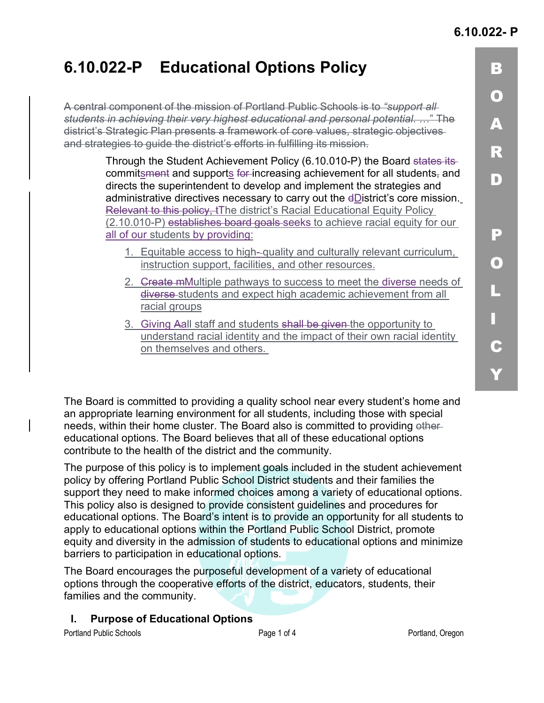# **6.10.022-P Educational Options Policy**

A central component of the mission of Portland Public Schools is to *"support all students in achieving their very highest educational and personal potential*. …" The district's Strategic Plan presents a framework of core values, strategic objectives and strategies to guide the district's efforts in fulfilling its mission.

> Through the Student Achievement Policy (6.10.010-P) the Board states its commitsment and supports for increasing achievement for all students, and directs the superintendent to develop and implement the strategies and administrative directives necessary to carry out the dDistrict's core mission. Relevant to this policy, tThe district's Racial Educational Equity Policy (2.10.010-P) establishes board goals seeks to achieve racial equity for our all of our students by providing:

- 1. Equitable access to high- quality and culturally relevant curriculum, instruction support, facilities, and other resources.
- 2. Greate mMultiple pathways to success to meet the diverse needs of diverse students and expect high academic achievement from all racial groups
- 3. Giving Aall staff and students shall be given the opportunity to understand racial identity and the impact of their own racial identity on themselves and others.

The Board is committed to providing a quality school near every student's home and an appropriate learning environment for all students, including those with special needs, within their home cluster. The Board also is committed to providing othereducational options. The Board believes that all of these educational options contribute to the health of the district and the community.

The purpose of this policy is to implement goals included in the student achievement policy by offering Portland Public School District students and their families the support they need to make informed choices among a variety of educational options. This policy also is designed to provide consistent guidelines and procedures for educational options. The Board's intent is to provide an opportunity for all students to apply to educational options within the Portland Public School District, promote equity and diversity in the admission of students to educational options and minimize barriers to participation in educational options.

The Board encourages the purposeful development of a variety of educational options through the cooperative efforts of the district, educators, students, their families and the community.

**I. Purpose of Educational Options**

Portland Public Schools **Page 1** of 4 **Page 1** of 4 **Portland, Oregon** Portland, Oregon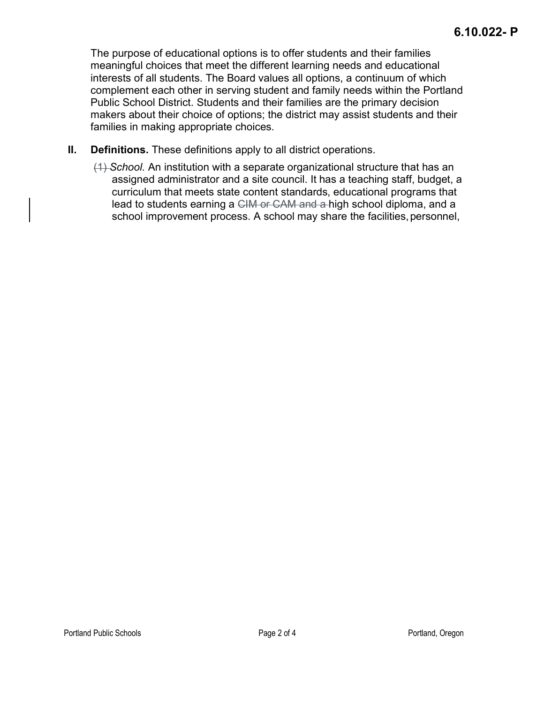The purpose of educational options is to offer students and their families meaningful choices that meet the different learning needs and educational interests of all students. The Board values all options, a continuum of which complement each other in serving student and family needs within the Portland Public School District. Students and their families are the primary decision makers about their choice of options; the district may assist students and their families in making appropriate choices.

- **II. Definitions.** These definitions apply to all district operations.
	- (1) *School.* An institution with a separate organizational structure that has an assigned administrator and a site council. It has a teaching staff, budget, a curriculum that meets state content standards, educational programs that lead to students earning a CIM or CAM and a high school diploma, and a school improvement process. A school may share the facilities, personnel,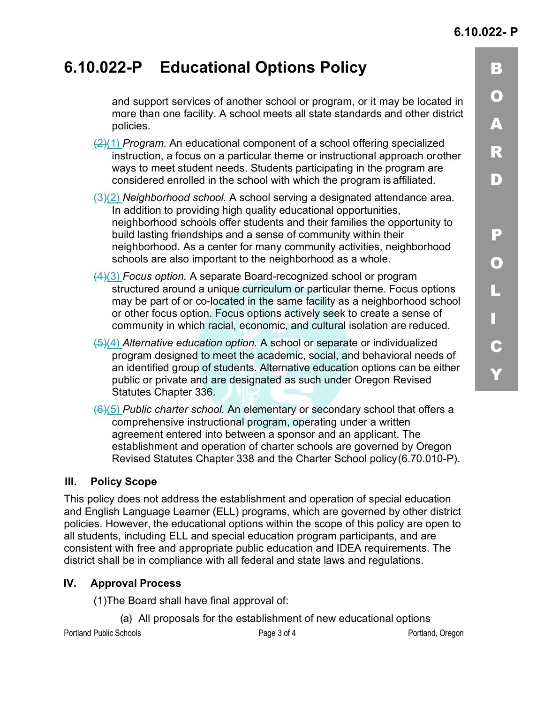B

O

A

R

 $\vert$  D)

P

O

L

I

C

Y

## **6.10.022-P Educational Options Policy**

and support services of another school or program, or it may be located in more than one facility. A school meets all state standards and other district policies.

- (2)(1) *Program.* An educational component of a school offering specialized instruction, a focus on a particular theme or instructional approach orother ways to meet student needs. Students participating in the program are considered enrolled in the school with which the program is affiliated.
- (3)(2) *Neighborhood school.* A school serving a designated attendance area. In addition to providing high quality educational opportunities, neighborhood schools offer students and their families the opportunity to build lasting friendships and a sense of community within their neighborhood. As a center for many community activities, neighborhood schools are also important to the neighborhood as a whole.
- (4)(3) *Focus option.* A separate Board-recognized school or program structured around a unique curriculum or particular theme. Focus options may be part of or co-located in the same facility as a neighborhood school or other focus option. Focus options actively seek to create a sense of community in which racial, economic, and cultural isolation are reduced.
- (5)(4) *Alternative education option.* A school or separate or individualized program designed to meet the academic, social, and behavioral needs of an identified group of students. Alternative education options can be either public or private and are designated as such under Oregon Revised Statutes Chapter 336.
- (6)(5) *Public charter school.* An elementary or secondary school that offers a comprehensive instructional program, operating under a written agreement entered into between a sponsor and an applicant. The establishment and operation of charter schools are governed by Oregon Revised Statutes Chapter 338 and the Charter School policy(6.70.010-P).

#### **III. Policy Scope**

This policy does not address the establishment and operation of special education and English Language Learner (ELL) programs, which are governed by other district policies. However, the educational options within the scope of this policy are open to all students, including ELL and special education program participants, and are consistent with free and appropriate public education and IDEA requirements. The district shall be in compliance with all federal and state laws and regulations.

#### **IV. Approval Process**

(1)The Board shall have final approval of:

(a) All proposals for the establishment of new educational options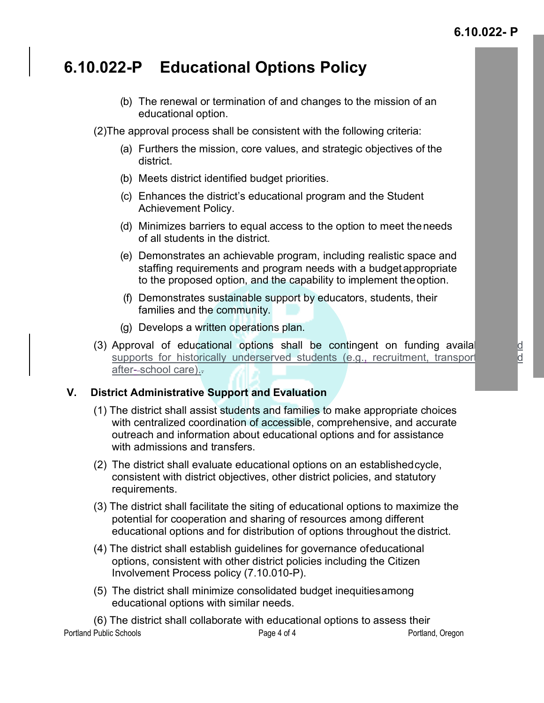#### **6.10.022- P**

### **6.10.022-P Educational Options Policy**

(b) The renewal or termination of and changes to the mission of an educational option.

(2)The approval process shall be consistent with the following criteria:

- (a) Furthers the mission, core values, and strategic objectives of the district.
- (b) Meets district identified budget priorities.
- (c) Enhances the district's educational program and the Student Achievement Policy.
- (d) Minimizes barriers to equal access to the option to meet theneeds of all students in the district.
- (e) Demonstrates an achievable program, including realistic space and staffing requirements and program needs with a budgetappropriate to the proposed option, and the capability to implement theoption.
- (f) Demonstrates sustainable support by educators, students, their families and the community.
- (g) Develops a written operations plan.
- (3) Approval of educational options shall be contingent on funding availal supports for historically underserved students (e.g., recruitment, transport supports for historically underserved students (e.g., recruitment, transport after--school care).-

#### **V. District Administrative Support and Evaluation**

- (1) The district shall assist students and families to make appropriate choices with centralized coordination of accessible, comprehensive, and accurate outreach and information about educational options and for assistance with admissions and transfers.
- (2) The district shall evaluate educational options on an establishedcycle, consistent with district objectives, other district policies, and statutory requirements.
- (3) The district shall facilitate the siting of educational options to maximize the potential for cooperation and sharing of resources among different educational options and for distribution of options throughout the district.
- (4) The district shall establish guidelines for governance ofeducational options, consistent with other district policies including the Citizen Involvement Process policy (7.10.010-P).
- (5) The district shall minimize consolidated budget inequitiesamong educational options with similar needs.

Portland Public Schools **Page 4 of 4** Page 4 of 4 **Portland Public Schools** Page 4 of 4 **Portland**, Oregon (6) The district shall collaborate with educational options to assess their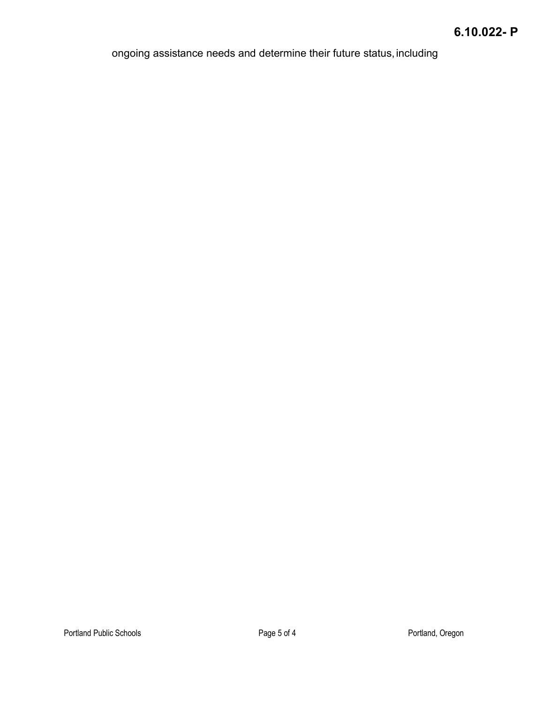ongoing assistance needs and determine their future status, including